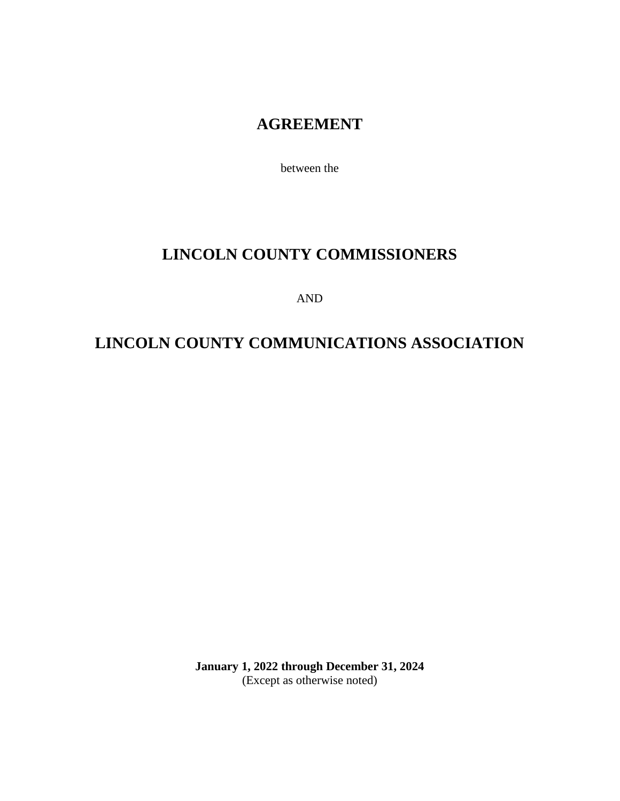# **AGREEMENT**

between the

# **LINCOLN COUNTY COMMISSIONERS**

AND

# **LINCOLN COUNTY COMMUNICATIONS ASSOCIATION**

**January 1, 2022 through December 31, 2024** (Except as otherwise noted)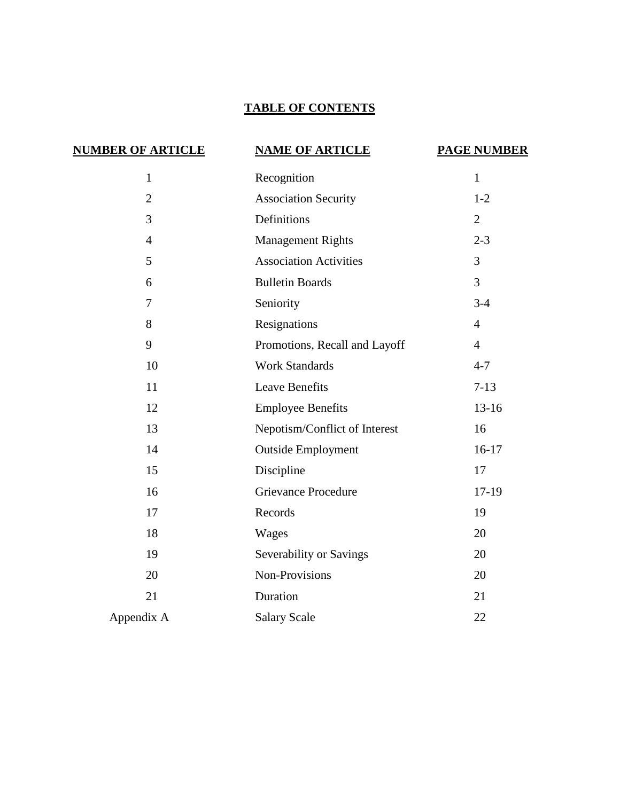# **TABLE OF CONTENTS**

| <b>NUMBER OF ARTICLE</b> | <b>NAME OF ARTICLE</b>        | <b>PAGE NUMBER</b> |
|--------------------------|-------------------------------|--------------------|
| $\mathbf{1}$             | Recognition                   | $\mathbf{1}$       |
| $\overline{2}$           | <b>Association Security</b>   | $1-2$              |
| 3                        | Definitions                   | 2                  |
| $\overline{4}$           | <b>Management Rights</b>      | $2 - 3$            |
| 5                        | <b>Association Activities</b> | 3                  |
| 6                        | <b>Bulletin Boards</b>        | $\overline{3}$     |
| $\overline{7}$           | Seniority                     | $3 - 4$            |
| 8                        | Resignations                  | $\overline{4}$     |
| 9                        | Promotions, Recall and Layoff | $\overline{4}$     |
| 10                       | <b>Work Standards</b>         | $4 - 7$            |
| 11                       | <b>Leave Benefits</b>         | $7 - 13$           |
| 12                       | <b>Employee Benefits</b>      | $13-16$            |
| 13                       | Nepotism/Conflict of Interest | 16                 |
| 14                       | <b>Outside Employment</b>     | $16-17$            |
| 15                       | Discipline                    | 17                 |
| 16                       | <b>Grievance Procedure</b>    | $17-19$            |
| 17                       | Records                       | 19                 |
| 18                       | Wages                         | 20                 |
| 19                       | Severability or Savings       | 20                 |
| 20                       | Non-Provisions                | 20                 |
| 21                       | Duration                      | 21                 |
| Appendix A               | <b>Salary Scale</b>           | 22                 |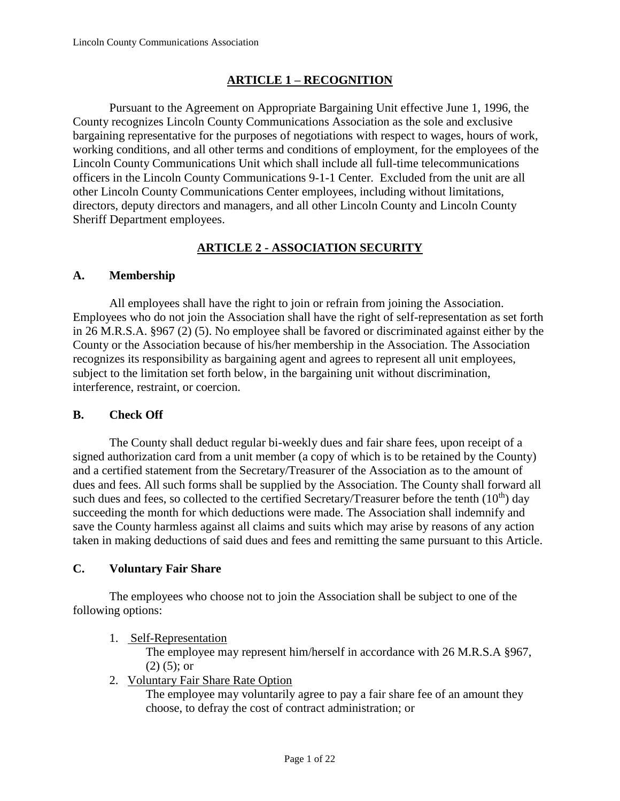# **ARTICLE 1 – RECOGNITION**

Pursuant to the Agreement on Appropriate Bargaining Unit effective June 1, 1996, the County recognizes Lincoln County Communications Association as the sole and exclusive bargaining representative for the purposes of negotiations with respect to wages, hours of work, working conditions, and all other terms and conditions of employment, for the employees of the Lincoln County Communications Unit which shall include all full-time telecommunications officers in the Lincoln County Communications 9-1-1 Center. Excluded from the unit are all other Lincoln County Communications Center employees, including without limitations, directors, deputy directors and managers, and all other Lincoln County and Lincoln County Sheriff Department employees.

#### **ARTICLE 2 - ASSOCIATION SECURITY**

#### **A. Membership**

All employees shall have the right to join or refrain from joining the Association. Employees who do not join the Association shall have the right of self-representation as set forth in 26 M.R.S.A. §967 (2) (5). No employee shall be favored or discriminated against either by the County or the Association because of his/her membership in the Association. The Association recognizes its responsibility as bargaining agent and agrees to represent all unit employees, subject to the limitation set forth below, in the bargaining unit without discrimination, interference, restraint, or coercion.

#### **B. Check Off**

The County shall deduct regular bi-weekly dues and fair share fees, upon receipt of a signed authorization card from a unit member (a copy of which is to be retained by the County) and a certified statement from the Secretary/Treasurer of the Association as to the amount of dues and fees. All such forms shall be supplied by the Association. The County shall forward all such dues and fees, so collected to the certified Secretary/Treasurer before the tenth  $(10<sup>th</sup>)$  day succeeding the month for which deductions were made. The Association shall indemnify and save the County harmless against all claims and suits which may arise by reasons of any action taken in making deductions of said dues and fees and remitting the same pursuant to this Article.

#### **C. Voluntary Fair Share**

The employees who choose not to join the Association shall be subject to one of the following options:

1. Self-Representation

The employee may represent him/herself in accordance with 26 M.R.S.A §967,  $(2)$  (5); or

2. Voluntary Fair Share Rate Option

The employee may voluntarily agree to pay a fair share fee of an amount they choose, to defray the cost of contract administration; or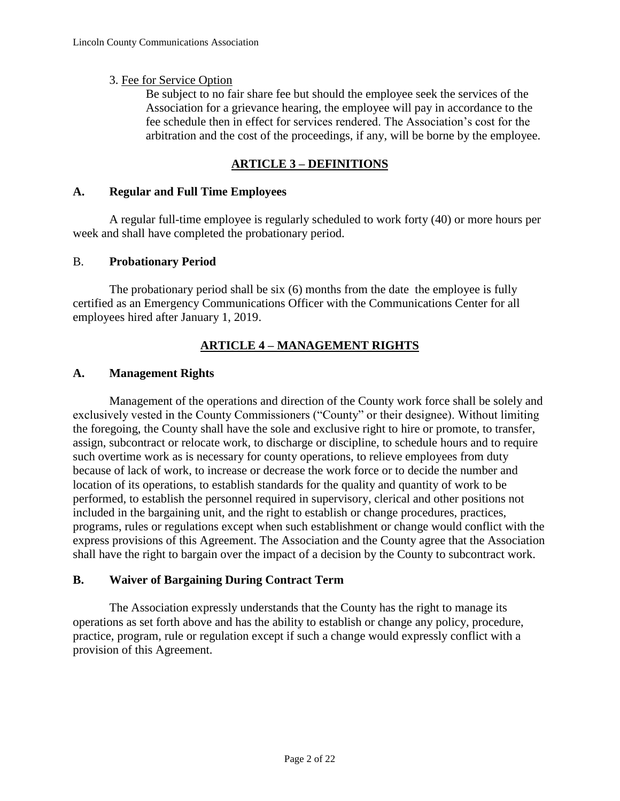#### 3. Fee for Service Option

Be subject to no fair share fee but should the employee seek the services of the Association for a grievance hearing, the employee will pay in accordance to the fee schedule then in effect for services rendered. The Association's cost for the arbitration and the cost of the proceedings, if any, will be borne by the employee.

#### **ARTICLE 3 – DEFINITIONS**

#### **A. Regular and Full Time Employees**

A regular full-time employee is regularly scheduled to work forty (40) or more hours per week and shall have completed the probationary period.

#### B. **Probationary Period**

The probationary period shall be six (6) months from the date the employee is fully certified as an Emergency Communications Officer with the Communications Center for all employees hired after January 1, 2019.

# **ARTICLE 4 – MANAGEMENT RIGHTS**

#### **A. Management Rights**

Management of the operations and direction of the County work force shall be solely and exclusively vested in the County Commissioners ("County" or their designee). Without limiting the foregoing, the County shall have the sole and exclusive right to hire or promote, to transfer, assign, subcontract or relocate work, to discharge or discipline, to schedule hours and to require such overtime work as is necessary for county operations, to relieve employees from duty because of lack of work, to increase or decrease the work force or to decide the number and location of its operations, to establish standards for the quality and quantity of work to be performed, to establish the personnel required in supervisory, clerical and other positions not included in the bargaining unit, and the right to establish or change procedures, practices, programs, rules or regulations except when such establishment or change would conflict with the express provisions of this Agreement. The Association and the County agree that the Association shall have the right to bargain over the impact of a decision by the County to subcontract work.

#### **B. Waiver of Bargaining During Contract Term**

The Association expressly understands that the County has the right to manage its operations as set forth above and has the ability to establish or change any policy, procedure, practice, program, rule or regulation except if such a change would expressly conflict with a provision of this Agreement.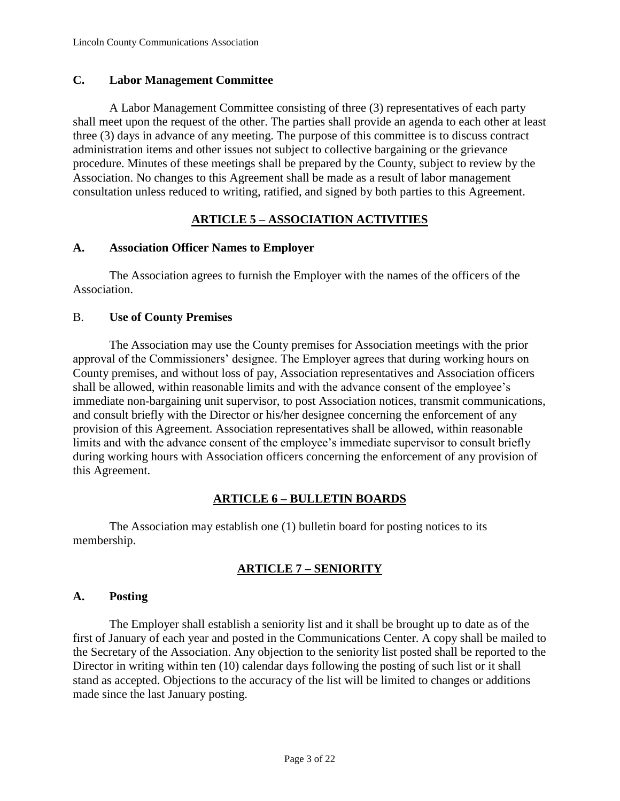#### **C. Labor Management Committee**

A Labor Management Committee consisting of three (3) representatives of each party shall meet upon the request of the other. The parties shall provide an agenda to each other at least three (3) days in advance of any meeting. The purpose of this committee is to discuss contract administration items and other issues not subject to collective bargaining or the grievance procedure. Minutes of these meetings shall be prepared by the County, subject to review by the Association. No changes to this Agreement shall be made as a result of labor management consultation unless reduced to writing, ratified, and signed by both parties to this Agreement.

#### **ARTICLE 5 – ASSOCIATION ACTIVITIES**

#### **A. Association Officer Names to Employer**

The Association agrees to furnish the Employer with the names of the officers of the Association.

#### B. **Use of County Premises**

The Association may use the County premises for Association meetings with the prior approval of the Commissioners' designee. The Employer agrees that during working hours on County premises, and without loss of pay, Association representatives and Association officers shall be allowed, within reasonable limits and with the advance consent of the employee's immediate non-bargaining unit supervisor, to post Association notices, transmit communications, and consult briefly with the Director or his/her designee concerning the enforcement of any provision of this Agreement. Association representatives shall be allowed, within reasonable limits and with the advance consent of the employee's immediate supervisor to consult briefly during working hours with Association officers concerning the enforcement of any provision of this Agreement.

#### **ARTICLE 6 – BULLETIN BOARDS**

The Association may establish one (1) bulletin board for posting notices to its membership.

# **ARTICLE 7 – SENIORITY**

#### **A. Posting**

The Employer shall establish a seniority list and it shall be brought up to date as of the first of January of each year and posted in the Communications Center. A copy shall be mailed to the Secretary of the Association. Any objection to the seniority list posted shall be reported to the Director in writing within ten (10) calendar days following the posting of such list or it shall stand as accepted. Objections to the accuracy of the list will be limited to changes or additions made since the last January posting.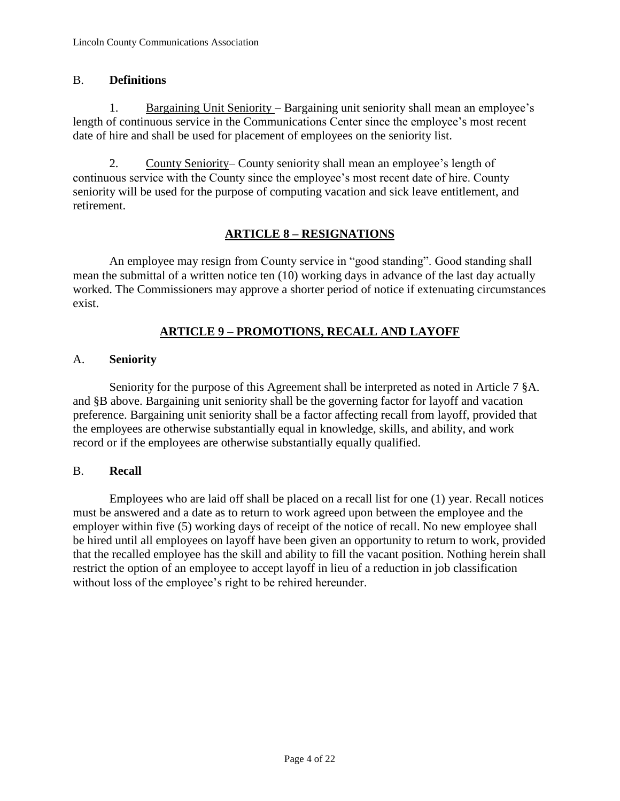#### B. **Definitions**

1. Bargaining Unit Seniority – Bargaining unit seniority shall mean an employee's length of continuous service in the Communications Center since the employee's most recent date of hire and shall be used for placement of employees on the seniority list.

2. County Seniority– County seniority shall mean an employee's length of continuous service with the County since the employee's most recent date of hire. County seniority will be used for the purpose of computing vacation and sick leave entitlement, and retirement.

# **ARTICLE 8 – RESIGNATIONS**

An employee may resign from County service in "good standing". Good standing shall mean the submittal of a written notice ten (10) working days in advance of the last day actually worked. The Commissioners may approve a shorter period of notice if extenuating circumstances exist.

# **ARTICLE 9 – PROMOTIONS, RECALL AND LAYOFF**

# A. **Seniority**

Seniority for the purpose of this Agreement shall be interpreted as noted in Article 7 §A. and §B above. Bargaining unit seniority shall be the governing factor for layoff and vacation preference. Bargaining unit seniority shall be a factor affecting recall from layoff, provided that the employees are otherwise substantially equal in knowledge, skills, and ability, and work record or if the employees are otherwise substantially equally qualified.

#### B. **Recall**

Employees who are laid off shall be placed on a recall list for one (1) year. Recall notices must be answered and a date as to return to work agreed upon between the employee and the employer within five (5) working days of receipt of the notice of recall. No new employee shall be hired until all employees on layoff have been given an opportunity to return to work, provided that the recalled employee has the skill and ability to fill the vacant position. Nothing herein shall restrict the option of an employee to accept layoff in lieu of a reduction in job classification without loss of the employee's right to be rehired hereunder.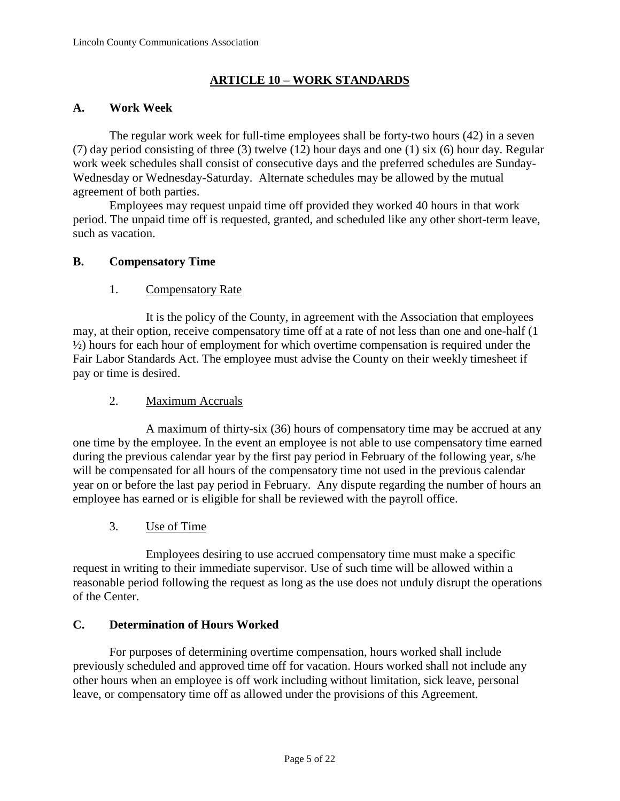# **ARTICLE 10 – WORK STANDARDS**

#### **A. Work Week**

The regular work week for full-time employees shall be forty-two hours (42) in a seven (7) day period consisting of three (3) twelve (12) hour days and one (1) six (6) hour day. Regular work week schedules shall consist of consecutive days and the preferred schedules are Sunday-Wednesday or Wednesday-Saturday. Alternate schedules may be allowed by the mutual agreement of both parties.

Employees may request unpaid time off provided they worked 40 hours in that work period. The unpaid time off is requested, granted, and scheduled like any other short-term leave, such as vacation.

#### **B. Compensatory Time**

# 1. Compensatory Rate

It is the policy of the County, in agreement with the Association that employees may, at their option, receive compensatory time off at a rate of not less than one and one-half (1 ½) hours for each hour of employment for which overtime compensation is required under the Fair Labor Standards Act. The employee must advise the County on their weekly timesheet if pay or time is desired.

# 2. Maximum Accruals

A maximum of thirty-six (36) hours of compensatory time may be accrued at any one time by the employee. In the event an employee is not able to use compensatory time earned during the previous calendar year by the first pay period in February of the following year, s/he will be compensated for all hours of the compensatory time not used in the previous calendar year on or before the last pay period in February. Any dispute regarding the number of hours an employee has earned or is eligible for shall be reviewed with the payroll office.

#### 3. Use of Time

Employees desiring to use accrued compensatory time must make a specific request in writing to their immediate supervisor. Use of such time will be allowed within a reasonable period following the request as long as the use does not unduly disrupt the operations of the Center.

#### **C. Determination of Hours Worked**

For purposes of determining overtime compensation, hours worked shall include previously scheduled and approved time off for vacation. Hours worked shall not include any other hours when an employee is off work including without limitation, sick leave, personal leave, or compensatory time off as allowed under the provisions of this Agreement.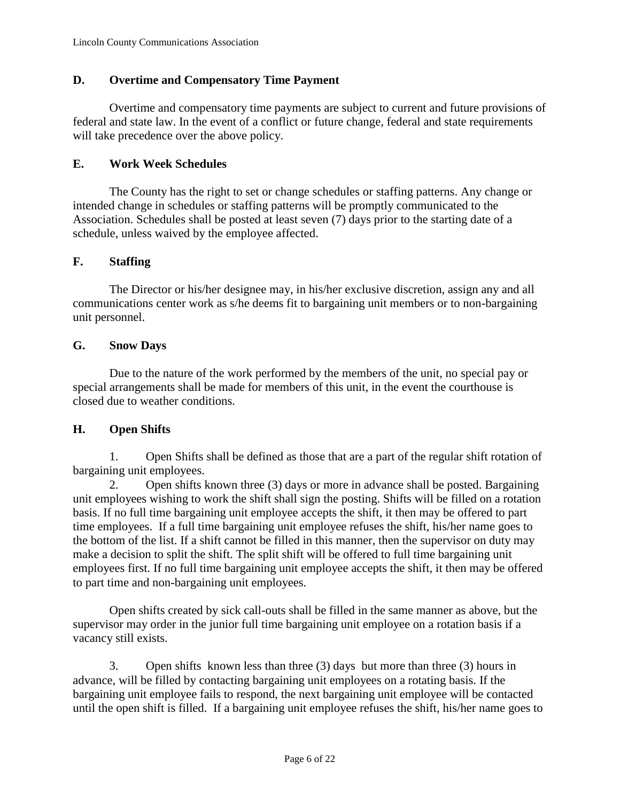# **D. Overtime and Compensatory Time Payment**

Overtime and compensatory time payments are subject to current and future provisions of federal and state law. In the event of a conflict or future change, federal and state requirements will take precedence over the above policy.

#### **E. Work Week Schedules**

The County has the right to set or change schedules or staffing patterns. Any change or intended change in schedules or staffing patterns will be promptly communicated to the Association. Schedules shall be posted at least seven (7) days prior to the starting date of a schedule, unless waived by the employee affected.

# **F. Staffing**

The Director or his/her designee may, in his/her exclusive discretion, assign any and all communications center work as s/he deems fit to bargaining unit members or to non-bargaining unit personnel.

# **G. Snow Days**

Due to the nature of the work performed by the members of the unit, no special pay or special arrangements shall be made for members of this unit, in the event the courthouse is closed due to weather conditions.

# **H. Open Shifts**

1. Open Shifts shall be defined as those that are a part of the regular shift rotation of bargaining unit employees.

2. Open shifts known three (3) days or more in advance shall be posted. Bargaining unit employees wishing to work the shift shall sign the posting. Shifts will be filled on a rotation basis. If no full time bargaining unit employee accepts the shift, it then may be offered to part time employees. If a full time bargaining unit employee refuses the shift, his/her name goes to the bottom of the list. If a shift cannot be filled in this manner, then the supervisor on duty may make a decision to split the shift. The split shift will be offered to full time bargaining unit employees first. If no full time bargaining unit employee accepts the shift, it then may be offered to part time and non-bargaining unit employees.

Open shifts created by sick call-outs shall be filled in the same manner as above, but the supervisor may order in the junior full time bargaining unit employee on a rotation basis if a vacancy still exists.

3. Open shifts known less than three (3) days but more than three (3) hours in advance, will be filled by contacting bargaining unit employees on a rotating basis. If the bargaining unit employee fails to respond, the next bargaining unit employee will be contacted until the open shift is filled. If a bargaining unit employee refuses the shift, his/her name goes to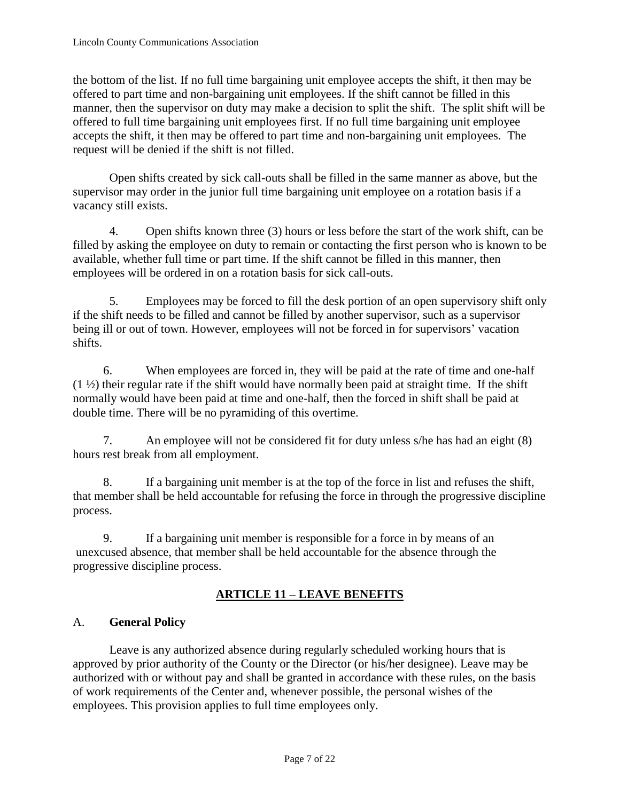the bottom of the list. If no full time bargaining unit employee accepts the shift, it then may be offered to part time and non-bargaining unit employees. If the shift cannot be filled in this manner, then the supervisor on duty may make a decision to split the shift. The split shift will be offered to full time bargaining unit employees first. If no full time bargaining unit employee accepts the shift, it then may be offered to part time and non-bargaining unit employees. The request will be denied if the shift is not filled.

Open shifts created by sick call-outs shall be filled in the same manner as above, but the supervisor may order in the junior full time bargaining unit employee on a rotation basis if a vacancy still exists.

4. Open shifts known three (3) hours or less before the start of the work shift, can be filled by asking the employee on duty to remain or contacting the first person who is known to be available, whether full time or part time. If the shift cannot be filled in this manner, then employees will be ordered in on a rotation basis for sick call-outs.

5. Employees may be forced to fill the desk portion of an open supervisory shift only if the shift needs to be filled and cannot be filled by another supervisor, such as a supervisor being ill or out of town. However, employees will not be forced in for supervisors' vacation shifts.

6. When employees are forced in, they will be paid at the rate of time and one-half  $(1 \frac{1}{2})$  their regular rate if the shift would have normally been paid at straight time. If the shift normally would have been paid at time and one-half, then the forced in shift shall be paid at double time. There will be no pyramiding of this overtime.

7. An employee will not be considered fit for duty unless s/he has had an eight (8) hours rest break from all employment.

8. If a bargaining unit member is at the top of the force in list and refuses the shift, that member shall be held accountable for refusing the force in through the progressive discipline process.

9. If a bargaining unit member is responsible for a force in by means of an unexcused absence, that member shall be held accountable for the absence through the progressive discipline process.

# **ARTICLE 11 – LEAVE BENEFITS**

# A. **General Policy**

Leave is any authorized absence during regularly scheduled working hours that is approved by prior authority of the County or the Director (or his/her designee). Leave may be authorized with or without pay and shall be granted in accordance with these rules, on the basis of work requirements of the Center and, whenever possible, the personal wishes of the employees. This provision applies to full time employees only.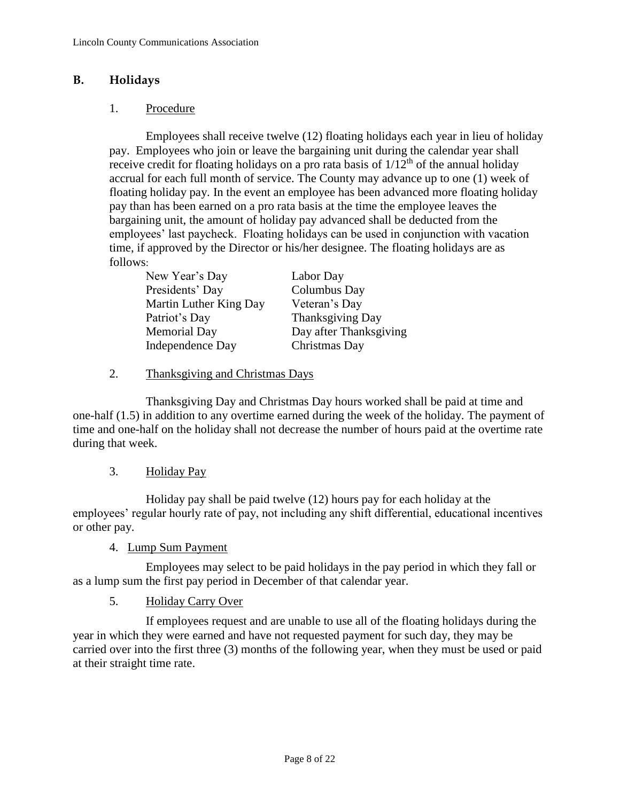#### **B. Holidays**

#### 1. Procedure

Employees shall receive twelve (12) floating holidays each year in lieu of holiday pay. Employees who join or leave the bargaining unit during the calendar year shall receive credit for floating holidays on a pro rata basis of  $1/12<sup>th</sup>$  of the annual holiday accrual for each full month of service. The County may advance up to one (1) week of floating holiday pay. In the event an employee has been advanced more floating holiday pay than has been earned on a pro rata basis at the time the employee leaves the bargaining unit, the amount of holiday pay advanced shall be deducted from the employees' last paycheck. Floating holidays can be used in conjunction with vacation time, if approved by the Director or his/her designee. The floating holidays are as follows:

| New Year's Day         | Labor Day              |
|------------------------|------------------------|
| Presidents' Day        | Columbus Day           |
| Martin Luther King Day | Veteran's Day          |
| Patriot's Day          | Thanksgiving Day       |
| <b>Memorial Day</b>    | Day after Thanksgiving |
| Independence Day       | Christmas Day          |

#### 2. Thanksgiving and Christmas Days

Thanksgiving Day and Christmas Day hours worked shall be paid at time and one-half (1.5) in addition to any overtime earned during the week of the holiday. The payment of time and one-half on the holiday shall not decrease the number of hours paid at the overtime rate during that week.

#### 3. Holiday Pay

Holiday pay shall be paid twelve (12) hours pay for each holiday at the employees' regular hourly rate of pay, not including any shift differential, educational incentives or other pay.

#### 4. Lump Sum Payment

Employees may select to be paid holidays in the pay period in which they fall or as a lump sum the first pay period in December of that calendar year.

#### 5. Holiday Carry Over

If employees request and are unable to use all of the floating holidays during the year in which they were earned and have not requested payment for such day, they may be carried over into the first three (3) months of the following year, when they must be used or paid at their straight time rate.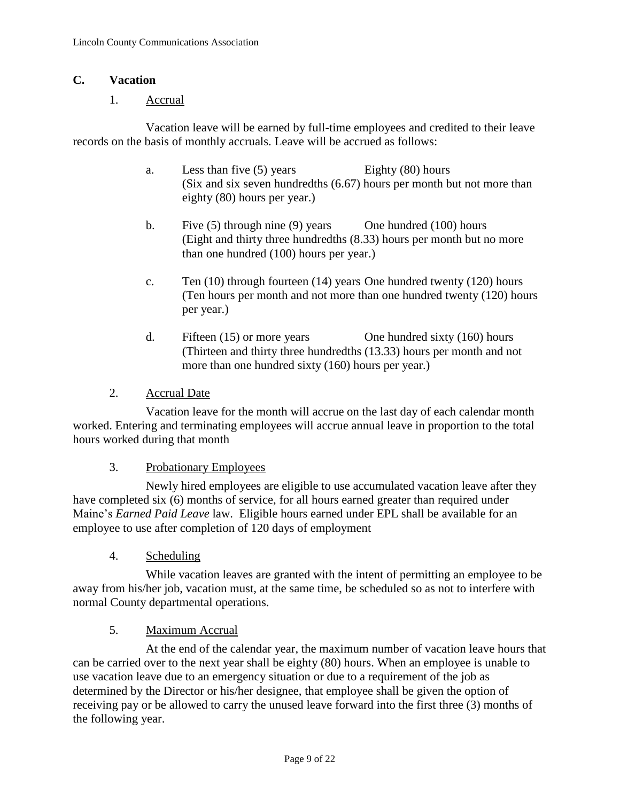#### **C. Vacation**

#### 1. Accrual

Vacation leave will be earned by full-time employees and credited to their leave records on the basis of monthly accruals. Leave will be accrued as follows:

- a. Less than five (5) years Eighty (80) hours (Six and six seven hundredths (6.67) hours per month but not more than eighty (80) hours per year.)
- b. Five (5) through nine (9) years One hundred (100) hours (Eight and thirty three hundredths (8.33) hours per month but no more than one hundred (100) hours per year.)
- c. Ten (10) through fourteen (14) years One hundred twenty (120) hours (Ten hours per month and not more than one hundred twenty (120) hours per year.)
- d. Fifteen (15) or more years One hundred sixty (160) hours (Thirteen and thirty three hundredths (13.33) hours per month and not more than one hundred sixty (160) hours per year.)

#### 2. Accrual Date

Vacation leave for the month will accrue on the last day of each calendar month worked. Entering and terminating employees will accrue annual leave in proportion to the total hours worked during that month

#### 3. Probationary Employees

Newly hired employees are eligible to use accumulated vacation leave after they have completed six (6) months of service, for all hours earned greater than required under Maine's *Earned Paid Leave* law. Eligible hours earned under EPL shall be available for an employee to use after completion of 120 days of employment

4. Scheduling

While vacation leaves are granted with the intent of permitting an employee to be away from his/her job, vacation must, at the same time, be scheduled so as not to interfere with normal County departmental operations.

#### 5. Maximum Accrual

At the end of the calendar year, the maximum number of vacation leave hours that can be carried over to the next year shall be eighty (80) hours. When an employee is unable to use vacation leave due to an emergency situation or due to a requirement of the job as determined by the Director or his/her designee, that employee shall be given the option of receiving pay or be allowed to carry the unused leave forward into the first three (3) months of the following year.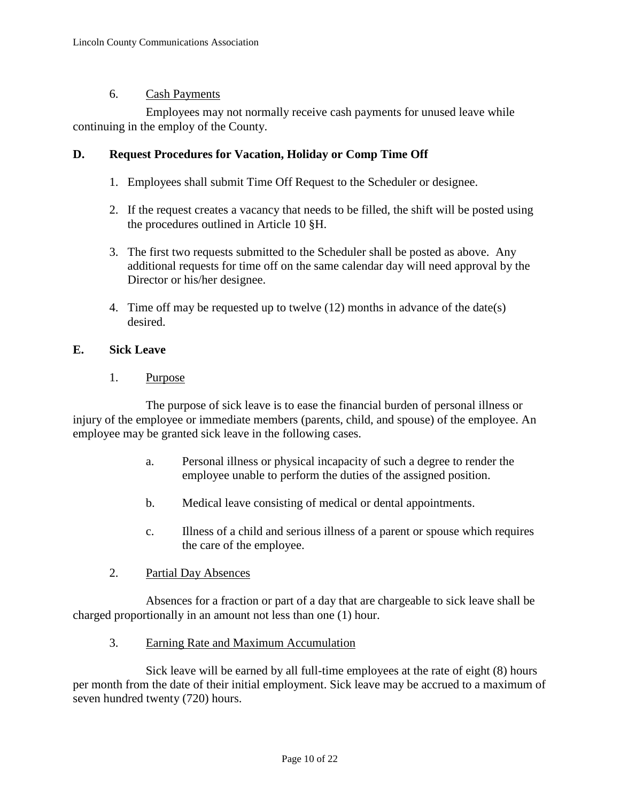#### 6. Cash Payments

Employees may not normally receive cash payments for unused leave while continuing in the employ of the County.

#### **D. Request Procedures for Vacation, Holiday or Comp Time Off**

- 1. Employees shall submit Time Off Request to the Scheduler or designee.
- 2. If the request creates a vacancy that needs to be filled, the shift will be posted using the procedures outlined in Article 10 §H.
- 3. The first two requests submitted to the Scheduler shall be posted as above. Any additional requests for time off on the same calendar day will need approval by the Director or his/her designee.
- 4. Time off may be requested up to twelve (12) months in advance of the date(s) desired.

#### **E. Sick Leave**

1. Purpose

The purpose of sick leave is to ease the financial burden of personal illness or injury of the employee or immediate members (parents, child, and spouse) of the employee. An employee may be granted sick leave in the following cases.

- a. Personal illness or physical incapacity of such a degree to render the employee unable to perform the duties of the assigned position.
- b. Medical leave consisting of medical or dental appointments.
- c. Illness of a child and serious illness of a parent or spouse which requires the care of the employee.
- 2. Partial Day Absences

Absences for a fraction or part of a day that are chargeable to sick leave shall be charged proportionally in an amount not less than one (1) hour.

3. Earning Rate and Maximum Accumulation

Sick leave will be earned by all full-time employees at the rate of eight (8) hours per month from the date of their initial employment. Sick leave may be accrued to a maximum of seven hundred twenty (720) hours.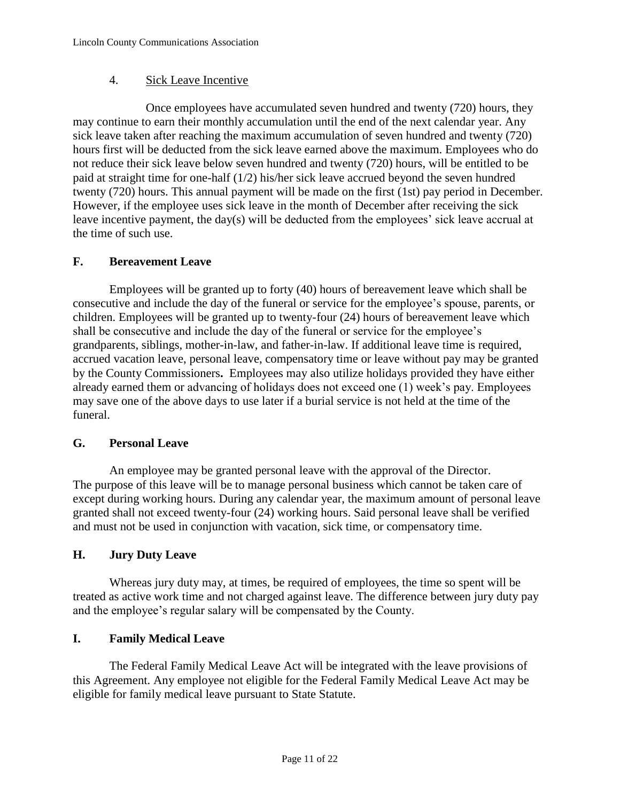# 4. Sick Leave Incentive

Once employees have accumulated seven hundred and twenty (720) hours, they may continue to earn their monthly accumulation until the end of the next calendar year. Any sick leave taken after reaching the maximum accumulation of seven hundred and twenty (720) hours first will be deducted from the sick leave earned above the maximum. Employees who do not reduce their sick leave below seven hundred and twenty (720) hours, will be entitled to be paid at straight time for one-half (1/2) his/her sick leave accrued beyond the seven hundred twenty (720) hours. This annual payment will be made on the first (1st) pay period in December. However, if the employee uses sick leave in the month of December after receiving the sick leave incentive payment, the day(s) will be deducted from the employees' sick leave accrual at the time of such use.

# **F. Bereavement Leave**

Employees will be granted up to forty (40) hours of bereavement leave which shall be consecutive and include the day of the funeral or service for the employee's spouse, parents, or children. Employees will be granted up to twenty-four (24) hours of bereavement leave which shall be consecutive and include the day of the funeral or service for the employee's grandparents, siblings, mother-in-law, and father-in-law. If additional leave time is required, accrued vacation leave, personal leave, compensatory time or leave without pay may be granted by the County Commissioners**.** Employees may also utilize holidays provided they have either already earned them or advancing of holidays does not exceed one (1) week's pay. Employees may save one of the above days to use later if a burial service is not held at the time of the funeral.

#### **G. Personal Leave**

An employee may be granted personal leave with the approval of the Director. The purpose of this leave will be to manage personal business which cannot be taken care of except during working hours. During any calendar year, the maximum amount of personal leave granted shall not exceed twenty-four (24) working hours. Said personal leave shall be verified and must not be used in conjunction with vacation, sick time, or compensatory time.

# **H. Jury Duty Leave**

Whereas jury duty may, at times, be required of employees, the time so spent will be treated as active work time and not charged against leave. The difference between jury duty pay and the employee's regular salary will be compensated by the County.

# **I. Family Medical Leave**

The Federal Family Medical Leave Act will be integrated with the leave provisions of this Agreement. Any employee not eligible for the Federal Family Medical Leave Act may be eligible for family medical leave pursuant to State Statute.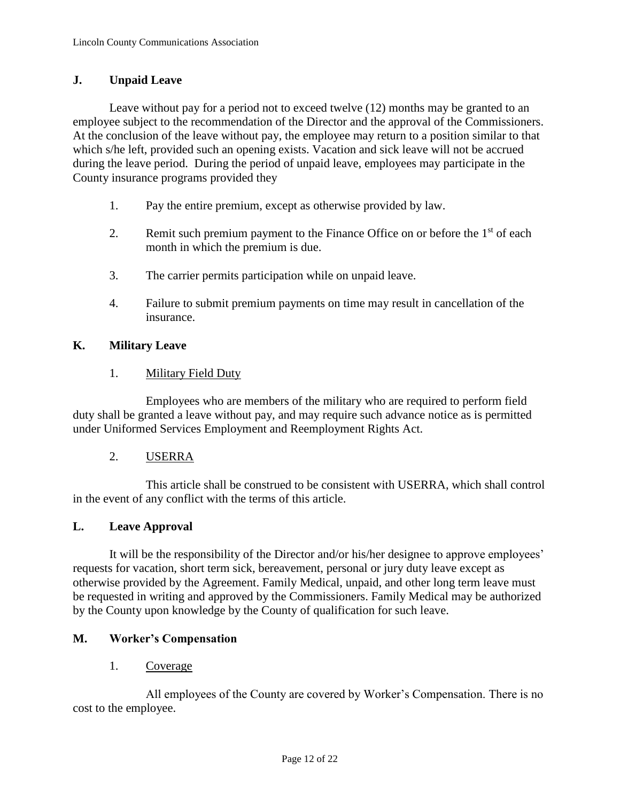#### **J. Unpaid Leave**

Leave without pay for a period not to exceed twelve (12) months may be granted to an employee subject to the recommendation of the Director and the approval of the Commissioners. At the conclusion of the leave without pay, the employee may return to a position similar to that which s/he left, provided such an opening exists. Vacation and sick leave will not be accrued during the leave period. During the period of unpaid leave, employees may participate in the County insurance programs provided they

- 1. Pay the entire premium, except as otherwise provided by law.
- 2. Remit such premium payment to the Finance Office on or before the  $1<sup>st</sup>$  of each month in which the premium is due.
- 3. The carrier permits participation while on unpaid leave.
- 4. Failure to submit premium payments on time may result in cancellation of the insurance.

# **K. Military Leave**

#### 1. Military Field Duty

Employees who are members of the military who are required to perform field duty shall be granted a leave without pay, and may require such advance notice as is permitted under Uniformed Services Employment and Reemployment Rights Act.

#### 2. USERRA

This article shall be construed to be consistent with USERRA, which shall control in the event of any conflict with the terms of this article.

#### **L. Leave Approval**

It will be the responsibility of the Director and/or his/her designee to approve employees' requests for vacation, short term sick, bereavement, personal or jury duty leave except as otherwise provided by the Agreement. Family Medical, unpaid, and other long term leave must be requested in writing and approved by the Commissioners. Family Medical may be authorized by the County upon knowledge by the County of qualification for such leave.

#### **M. Worker's Compensation**

#### 1. Coverage

All employees of the County are covered by Worker's Compensation. There is no cost to the employee.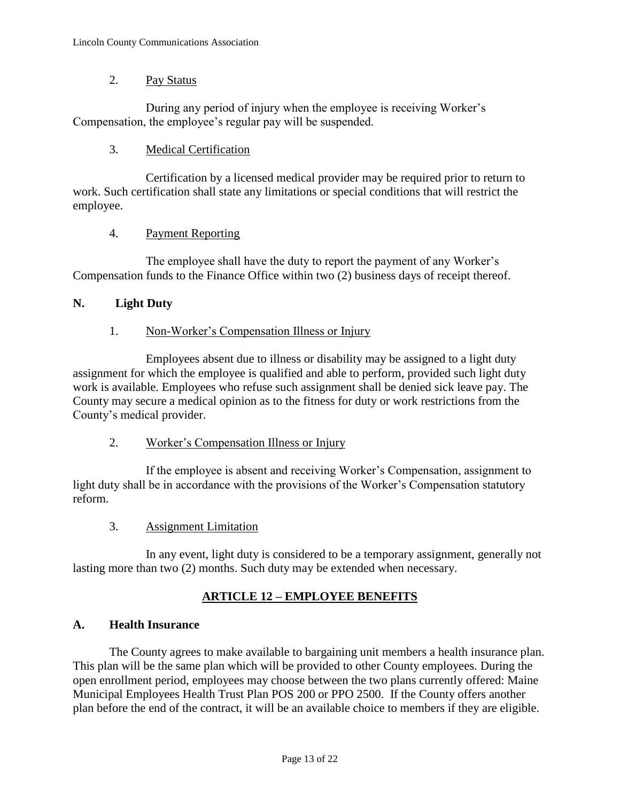#### 2. Pay Status

During any period of injury when the employee is receiving Worker's Compensation, the employee's regular pay will be suspended.

# 3. Medical Certification

Certification by a licensed medical provider may be required prior to return to work. Such certification shall state any limitations or special conditions that will restrict the employee.

#### 4. Payment Reporting

The employee shall have the duty to report the payment of any Worker's Compensation funds to the Finance Office within two (2) business days of receipt thereof.

# **N. Light Duty**

# 1. Non-Worker's Compensation Illness or Injury

Employees absent due to illness or disability may be assigned to a light duty assignment for which the employee is qualified and able to perform, provided such light duty work is available. Employees who refuse such assignment shall be denied sick leave pay. The County may secure a medical opinion as to the fitness for duty or work restrictions from the County's medical provider.

2. Worker's Compensation Illness or Injury

If the employee is absent and receiving Worker's Compensation, assignment to light duty shall be in accordance with the provisions of the Worker's Compensation statutory reform.

3. Assignment Limitation

In any event, light duty is considered to be a temporary assignment, generally not lasting more than two (2) months. Such duty may be extended when necessary.

# **ARTICLE 12 – EMPLOYEE BENEFITS**

# **A. Health Insurance**

The County agrees to make available to bargaining unit members a health insurance plan. This plan will be the same plan which will be provided to other County employees. During the open enrollment period, employees may choose between the two plans currently offered: Maine Municipal Employees Health Trust Plan POS 200 or PPO 2500. If the County offers another plan before the end of the contract, it will be an available choice to members if they are eligible.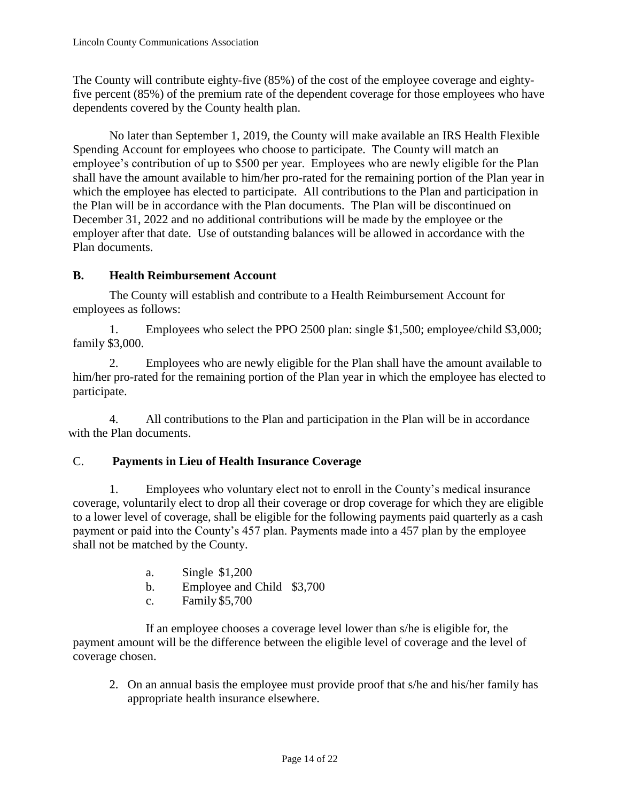The County will contribute eighty-five (85%) of the cost of the employee coverage and eightyfive percent (85%) of the premium rate of the dependent coverage for those employees who have dependents covered by the County health plan.

No later than September 1, 2019, the County will make available an IRS Health Flexible Spending Account for employees who choose to participate. The County will match an employee's contribution of up to \$500 per year. Employees who are newly eligible for the Plan shall have the amount available to him/her pro-rated for the remaining portion of the Plan year in which the employee has elected to participate. All contributions to the Plan and participation in the Plan will be in accordance with the Plan documents. The Plan will be discontinued on December 31, 2022 and no additional contributions will be made by the employee or the employer after that date. Use of outstanding balances will be allowed in accordance with the Plan documents.

# **B. Health Reimbursement Account**

The County will establish and contribute to a Health Reimbursement Account for employees as follows:

1. Employees who select the PPO 2500 plan: single \$1,500; employee/child \$3,000; family \$3,000.

2. Employees who are newly eligible for the Plan shall have the amount available to him/her pro-rated for the remaining portion of the Plan year in which the employee has elected to participate.

4. All contributions to the Plan and participation in the Plan will be in accordance with the Plan documents.

#### C. **Payments in Lieu of Health Insurance Coverage**

1. Employees who voluntary elect not to enroll in the County's medical insurance coverage, voluntarily elect to drop all their coverage or drop coverage for which they are eligible to a lower level of coverage, shall be eligible for the following payments paid quarterly as a cash payment or paid into the County's 457 plan. Payments made into a 457 plan by the employee shall not be matched by the County.

- a. Single \$1,200
- b. Employee and Child \$3,700
- c. Family \$5,700

If an employee chooses a coverage level lower than s/he is eligible for, the payment amount will be the difference between the eligible level of coverage and the level of coverage chosen.

2. On an annual basis the employee must provide proof that s/he and his/her family has appropriate health insurance elsewhere.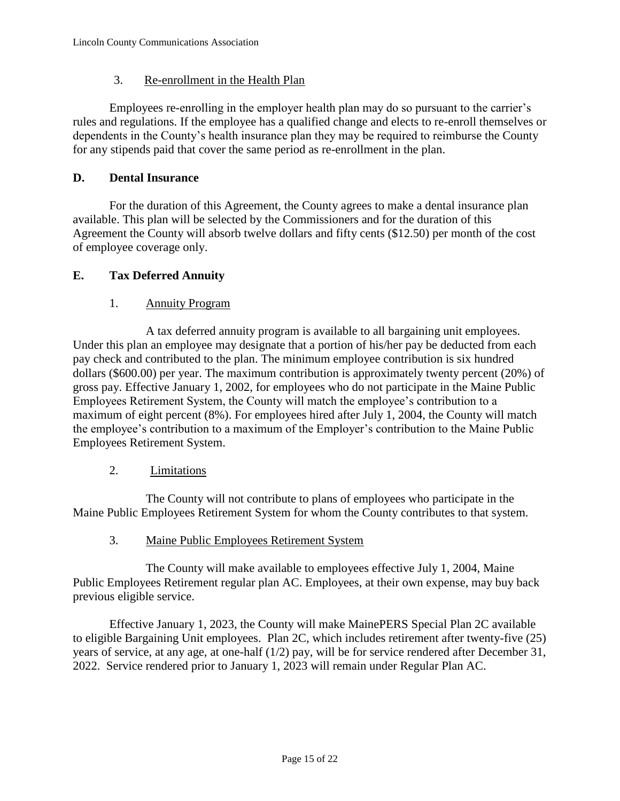# 3. Re-enrollment in the Health Plan

Employees re-enrolling in the employer health plan may do so pursuant to the carrier's rules and regulations. If the employee has a qualified change and elects to re-enroll themselves or dependents in the County's health insurance plan they may be required to reimburse the County for any stipends paid that cover the same period as re-enrollment in the plan.

#### **D. Dental Insurance**

For the duration of this Agreement, the County agrees to make a dental insurance plan available. This plan will be selected by the Commissioners and for the duration of this Agreement the County will absorb twelve dollars and fifty cents (\$12.50) per month of the cost of employee coverage only.

# **E. Tax Deferred Annuity**

#### 1. Annuity Program

A tax deferred annuity program is available to all bargaining unit employees. Under this plan an employee may designate that a portion of his/her pay be deducted from each pay check and contributed to the plan. The minimum employee contribution is six hundred dollars (\$600.00) per year. The maximum contribution is approximately twenty percent (20%) of gross pay. Effective January 1, 2002, for employees who do not participate in the Maine Public Employees Retirement System, the County will match the employee's contribution to a maximum of eight percent (8%). For employees hired after July 1, 2004, the County will match the employee's contribution to a maximum of the Employer's contribution to the Maine Public Employees Retirement System.

#### 2. Limitations

The County will not contribute to plans of employees who participate in the Maine Public Employees Retirement System for whom the County contributes to that system.

3. Maine Public Employees Retirement System

The County will make available to employees effective July 1, 2004, Maine Public Employees Retirement regular plan AC. Employees, at their own expense, may buy back previous eligible service.

Effective January 1, 2023, the County will make MainePERS Special Plan 2C available to eligible Bargaining Unit employees. Plan 2C, which includes retirement after twenty-five (25) years of service, at any age, at one-half (1/2) pay, will be for service rendered after December 31, 2022. Service rendered prior to January 1, 2023 will remain under Regular Plan AC.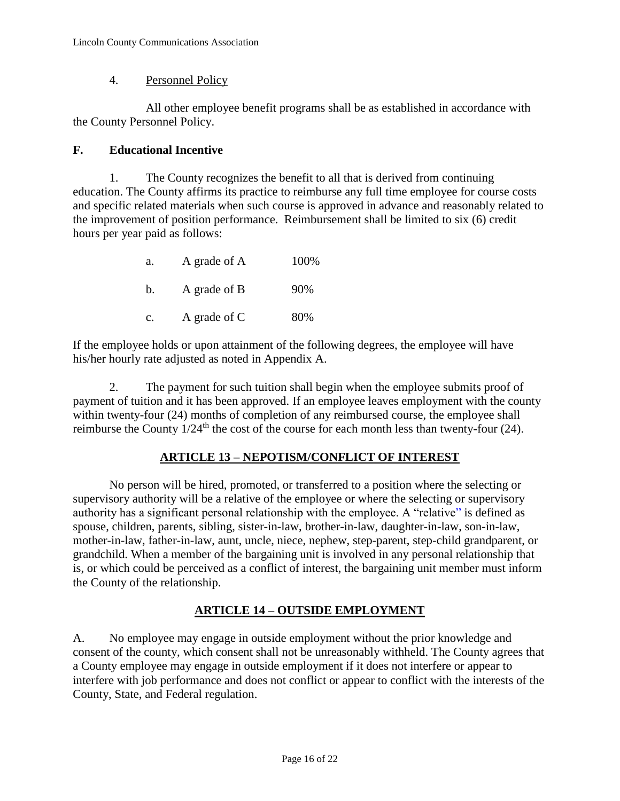#### 4. Personnel Policy

All other employee benefit programs shall be as established in accordance with the County Personnel Policy.

# **F. Educational Incentive**

1. The County recognizes the benefit to all that is derived from continuing education. The County affirms its practice to reimburse any full time employee for course costs and specific related materials when such course is approved in advance and reasonably related to the improvement of position performance. Reimbursement shall be limited to six (6) credit hours per year paid as follows:

| a. | A grade of A | 100% |
|----|--------------|------|
| b. | A grade of B | 90%  |
| C. | A grade of C | 80%  |

If the employee holds or upon attainment of the following degrees, the employee will have his/her hourly rate adjusted as noted in Appendix A.

2. The payment for such tuition shall begin when the employee submits proof of payment of tuition and it has been approved. If an employee leaves employment with the county within twenty-four (24) months of completion of any reimbursed course, the employee shall reimburse the County  $1/24$ <sup>th</sup> the cost of the course for each month less than twenty-four (24).

# **ARTICLE 13 – NEPOTISM/CONFLICT OF INTEREST**

No person will be hired, promoted, or transferred to a position where the selecting or supervisory authority will be a relative of the employee or where the selecting or supervisory authority has a significant personal relationship with the employee. A "relative" is defined as spouse, children, parents, sibling, sister-in-law, brother-in-law, daughter-in-law, son-in-law, mother-in-law, father-in-law, aunt, uncle, niece, nephew, step-parent, step-child grandparent, or grandchild. When a member of the bargaining unit is involved in any personal relationship that is, or which could be perceived as a conflict of interest, the bargaining unit member must inform the County of the relationship.

# **ARTICLE 14 – OUTSIDE EMPLOYMENT**

A. No employee may engage in outside employment without the prior knowledge and consent of the county, which consent shall not be unreasonably withheld. The County agrees that a County employee may engage in outside employment if it does not interfere or appear to interfere with job performance and does not conflict or appear to conflict with the interests of the County, State, and Federal regulation.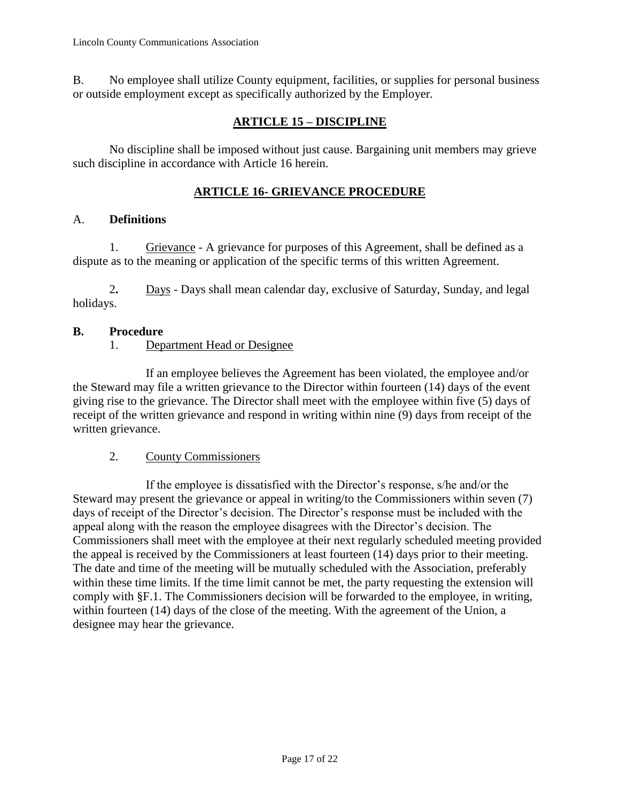B. No employee shall utilize County equipment, facilities, or supplies for personal business or outside employment except as specifically authorized by the Employer.

# **ARTICLE 15 – DISCIPLINE**

No discipline shall be imposed without just cause. Bargaining unit members may grieve such discipline in accordance with Article 16 herein.

# **ARTICLE 16- GRIEVANCE PROCEDURE**

#### A. **Definitions**

1. Grievance - A grievance for purposes of this Agreement, shall be defined as a dispute as to the meaning or application of the specific terms of this written Agreement.

2**.** Days - Days shall mean calendar day, exclusive of Saturday, Sunday, and legal holidays.

#### **B. Procedure**

#### 1. Department Head or Designee

If an employee believes the Agreement has been violated, the employee and/or the Steward may file a written grievance to the Director within fourteen (14) days of the event giving rise to the grievance. The Director shall meet with the employee within five (5) days of receipt of the written grievance and respond in writing within nine (9) days from receipt of the written grievance.

#### 2. County Commissioners

If the employee is dissatisfied with the Director's response, s/he and/or the Steward may present the grievance or appeal in writing/to the Commissioners within seven (7) days of receipt of the Director's decision. The Director's response must be included with the appeal along with the reason the employee disagrees with the Director's decision. The Commissioners shall meet with the employee at their next regularly scheduled meeting provided the appeal is received by the Commissioners at least fourteen (14) days prior to their meeting. The date and time of the meeting will be mutually scheduled with the Association, preferably within these time limits. If the time limit cannot be met, the party requesting the extension will comply with §F.1. The Commissioners decision will be forwarded to the employee, in writing, within fourteen (14) days of the close of the meeting. With the agreement of the Union, a designee may hear the grievance.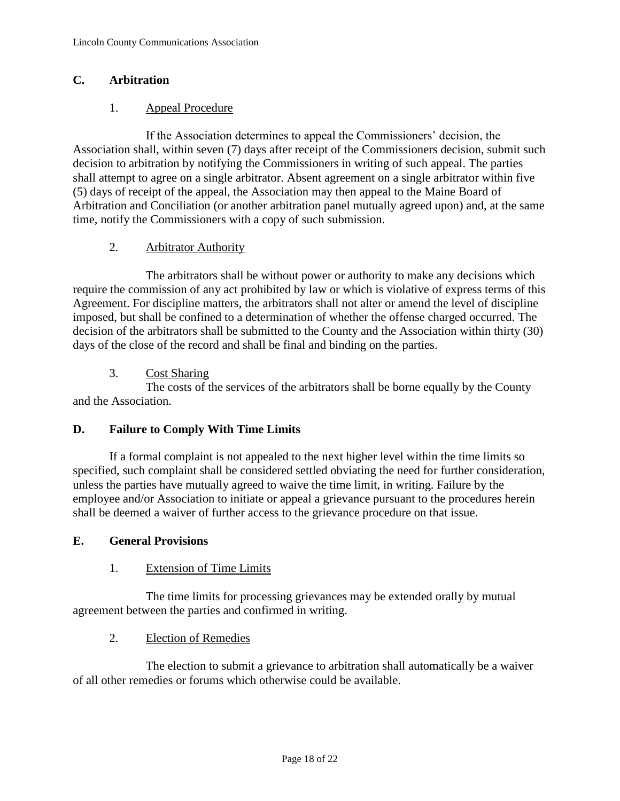# **C. Arbitration**

# 1. Appeal Procedure

If the Association determines to appeal the Commissioners' decision, the Association shall, within seven (7) days after receipt of the Commissioners decision, submit such decision to arbitration by notifying the Commissioners in writing of such appeal. The parties shall attempt to agree on a single arbitrator. Absent agreement on a single arbitrator within five (5) days of receipt of the appeal, the Association may then appeal to the Maine Board of Arbitration and Conciliation (or another arbitration panel mutually agreed upon) and, at the same time, notify the Commissioners with a copy of such submission.

# 2. Arbitrator Authority

The arbitrators shall be without power or authority to make any decisions which require the commission of any act prohibited by law or which is violative of express terms of this Agreement. For discipline matters, the arbitrators shall not alter or amend the level of discipline imposed, but shall be confined to a determination of whether the offense charged occurred. The decision of the arbitrators shall be submitted to the County and the Association within thirty (30) days of the close of the record and shall be final and binding on the parties.

# 3. Cost Sharing

The costs of the services of the arbitrators shall be borne equally by the County and the Association.

#### **D. Failure to Comply With Time Limits**

If a formal complaint is not appealed to the next higher level within the time limits so specified, such complaint shall be considered settled obviating the need for further consideration, unless the parties have mutually agreed to waive the time limit, in writing. Failure by the employee and/or Association to initiate or appeal a grievance pursuant to the procedures herein shall be deemed a waiver of further access to the grievance procedure on that issue.

#### **E. General Provisions**

#### 1. Extension of Time Limits

The time limits for processing grievances may be extended orally by mutual agreement between the parties and confirmed in writing.

#### 2. Election of Remedies

The election to submit a grievance to arbitration shall automatically be a waiver of all other remedies or forums which otherwise could be available.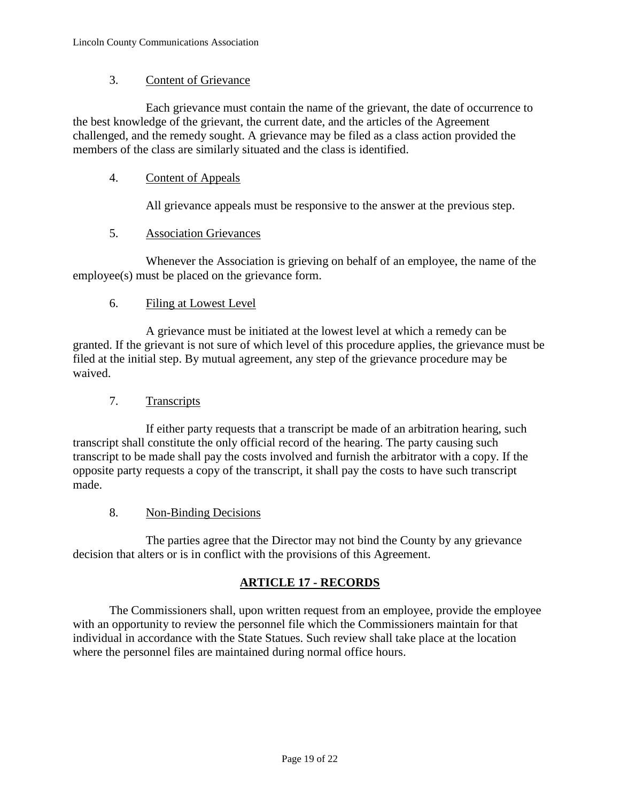#### 3. Content of Grievance

Each grievance must contain the name of the grievant, the date of occurrence to the best knowledge of the grievant, the current date, and the articles of the Agreement challenged, and the remedy sought. A grievance may be filed as a class action provided the members of the class are similarly situated and the class is identified.

#### 4. Content of Appeals

All grievance appeals must be responsive to the answer at the previous step.

#### 5. Association Grievances

Whenever the Association is grieving on behalf of an employee, the name of the employee(s) must be placed on the grievance form.

#### 6. Filing at Lowest Level

A grievance must be initiated at the lowest level at which a remedy can be granted. If the grievant is not sure of which level of this procedure applies, the grievance must be filed at the initial step. By mutual agreement, any step of the grievance procedure may be waived.

#### 7. Transcripts

If either party requests that a transcript be made of an arbitration hearing, such transcript shall constitute the only official record of the hearing. The party causing such transcript to be made shall pay the costs involved and furnish the arbitrator with a copy. If the opposite party requests a copy of the transcript, it shall pay the costs to have such transcript made.

#### 8. Non-Binding Decisions

The parties agree that the Director may not bind the County by any grievance decision that alters or is in conflict with the provisions of this Agreement.

#### **ARTICLE 17 - RECORDS**

The Commissioners shall, upon written request from an employee, provide the employee with an opportunity to review the personnel file which the Commissioners maintain for that individual in accordance with the State Statues. Such review shall take place at the location where the personnel files are maintained during normal office hours.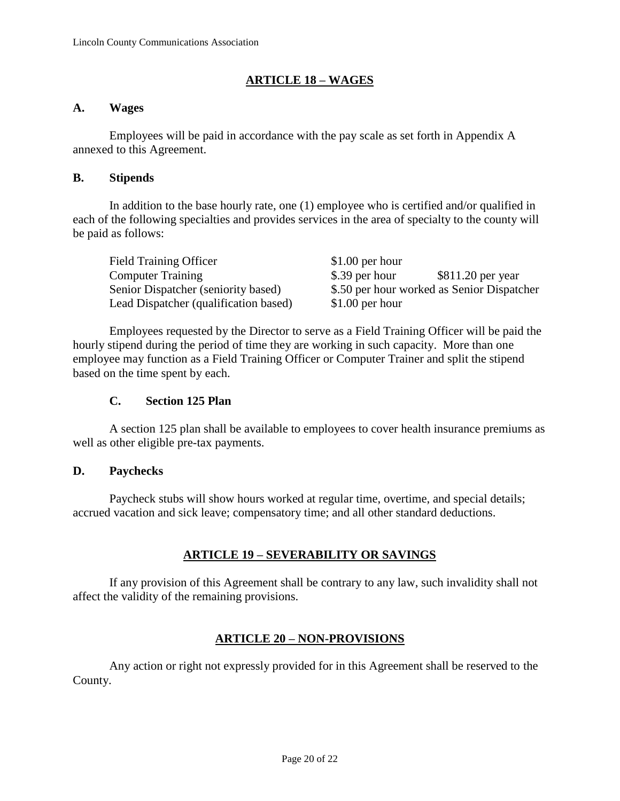#### **ARTICLE 18 – WAGES**

#### **A. Wages**

Employees will be paid in accordance with the pay scale as set forth in Appendix A annexed to this Agreement.

#### **B. Stipends**

In addition to the base hourly rate, one (1) employee who is certified and/or qualified in each of the following specialties and provides services in the area of specialty to the county will be paid as follows:

| <b>Field Training Officer</b>         | $$1.00$ per hour                           |
|---------------------------------------|--------------------------------------------|
| <b>Computer Training</b>              | \$.39 per hour<br>$$811.20$ per year       |
| Senior Dispatcher (seniority based)   | \$.50 per hour worked as Senior Dispatcher |
| Lead Dispatcher (qualification based) | $$1.00$ per hour                           |

Employees requested by the Director to serve as a Field Training Officer will be paid the hourly stipend during the period of time they are working in such capacity. More than one employee may function as a Field Training Officer or Computer Trainer and split the stipend based on the time spent by each.

#### **C. Section 125 Plan**

A section 125 plan shall be available to employees to cover health insurance premiums as well as other eligible pre-tax payments.

#### **D. Paychecks**

Paycheck stubs will show hours worked at regular time, overtime, and special details; accrued vacation and sick leave; compensatory time; and all other standard deductions.

#### **ARTICLE 19 – SEVERABILITY OR SAVINGS**

If any provision of this Agreement shall be contrary to any law, such invalidity shall not affect the validity of the remaining provisions.

#### **ARTICLE 20 – NON-PROVISIONS**

Any action or right not expressly provided for in this Agreement shall be reserved to the County.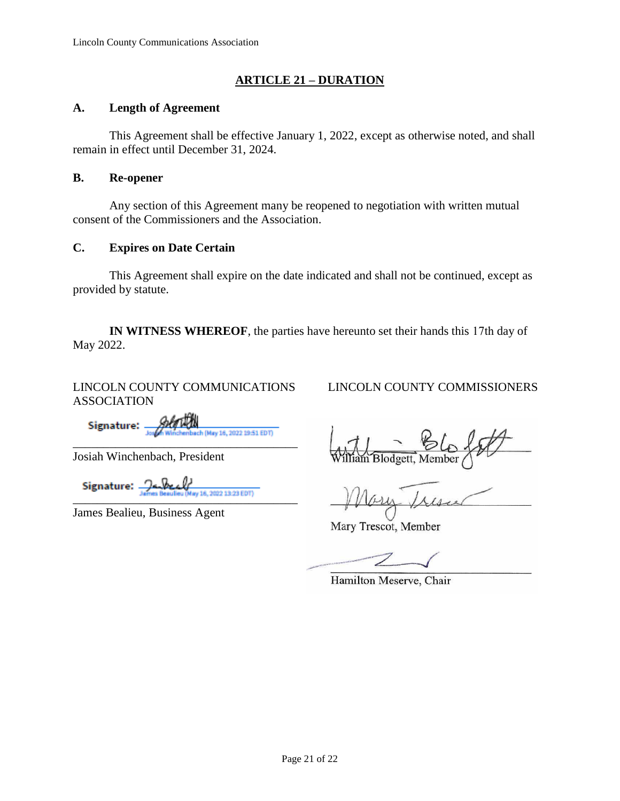# **ARTICLE 21 – DURATION**

#### **A. Length of Agreement**

This Agreement shall be effective January 1, 2022, except as otherwise noted, and shall remain in effect until December 31, 2024.

#### **B. Re-opener**

Any section of this Agreement many be reopened to negotiation with written mutual consent of the Commissioners and the Association.

#### **C. Expires on Date Certain**

This Agreement shall expire on the date indicated and shall not be continued, except as provided by statute.

**IN WITNESS WHEREOF**, the parties have hereunto set their hands this 17th day of May 2022.

LINCOLN COUNTY COMMUNICATIONS ASSOCIATION

Signature: -\_\_\_\_\_\_\_\_\_\_\_\_\_\_\_\_\_\_\_\_\_\_\_\_\_\_\_\_\_\_\_\_\_\_\_\_\_

Josiah Winchenbach, President

Signature:  $\frac{\partial}{\partial x_i} \frac{\partial}{\partial y_i} \frac{\partial}{\partial z_i}$  (Nev 16, 2022 13:23 EDT)

James Bealieu, Business Agent

LINCOLN COUNTY COMMISSIONERS

illiam Blodgett, Member

- Iresu

Mary Trescot, Member

Hamilton Meserve, Chair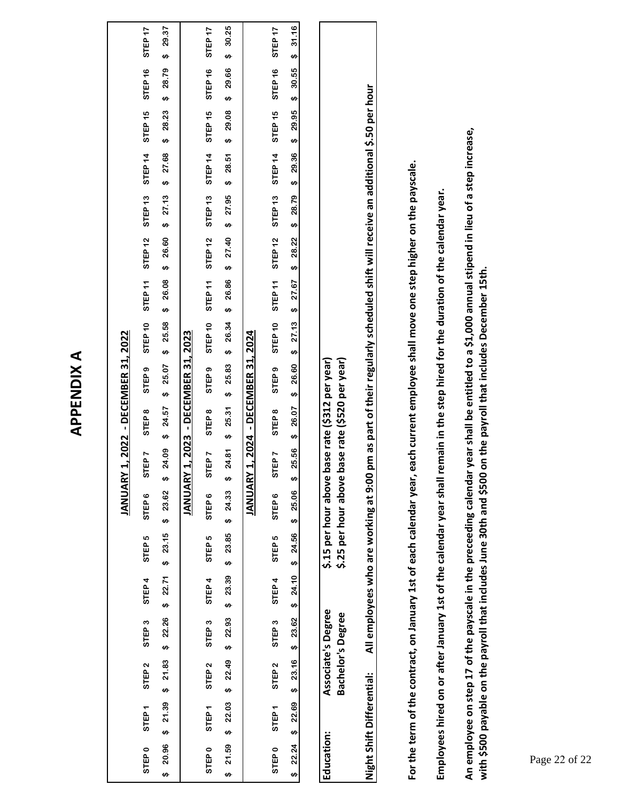# **APPENDIX A APPENDIX A**

|                   |                   |                                                      |                                                |                   |                   | JANUARY                                      |                   |                   | 1, 2022 - DECEMBER 31, 2022                              |         |                    |                                                                                                 |                    |                    |         |                    |                    |
|-------------------|-------------------|------------------------------------------------------|------------------------------------------------|-------------------|-------------------|----------------------------------------------|-------------------|-------------------|----------------------------------------------------------|---------|--------------------|-------------------------------------------------------------------------------------------------|--------------------|--------------------|---------|--------------------|--------------------|
| STEP <sub>0</sub> | STEP <sub>1</sub> | STEP <sub>2</sub>                                    | STEP <sub>3</sub>                              | STEP 4            | STEP <sub>5</sub> | STEP <sub>6</sub>                            | <b>TEP 7</b><br>5 | STEP <sub>8</sub> | STEP <sub>9</sub>                                        | STEP 10 | STEP <sub>11</sub> | STEP 12                                                                                         | STEP <sub>13</sub> | STEP <sub>14</sub> | STEP 15 | STEP <sub>16</sub> | STEP <sub>17</sub> |
| ↮                 |                   | $20.96$ \$ 21.39 \$ 21.83 \$ 22.26 \$ 22.71 \$ 23.15 |                                                |                   |                   | \$23.62                                      | 24.09<br>↮        | \$24.57           | \$25.07                                                  | \$25.58 | \$26.08            | \$26.60                                                                                         | \$27.13            | $$27.68$ \$ 28.23  |         | \$28.79            | 29.37<br>↮         |
|                   |                   |                                                      |                                                |                   |                   | JANUARY                                      |                   |                   | 1, 2023 - DECEMBER 31, 2023                              |         |                    |                                                                                                 |                    |                    |         |                    |                    |
| STEP <sub>0</sub> | STEP <sub>1</sub> | STEP <sub>2</sub>                                    | STEP <sub>3</sub>                              | STEP <sub>4</sub> | STEP <sub>5</sub> | STEP <sub>6</sub>                            | <b>TEP7</b><br>5  | STEP <sub>8</sub> | STEP <sub>9</sub>                                        |         |                    | STEP 10 STEP 11 STEP 12 STEP 13 STEP 14                                                         |                    |                    |         | STEP 15 STEP 16    | STEP <sub>17</sub> |
| ↮                 | 21.59 \$ 22.03    |                                                      | $$22.49$ \$ 22.93                              |                   | $$23.39$ \$ 23.85 | \$24.33                                      | ↮                 |                   |                                                          |         |                    | 24.81 \$ 25.31 \$ 25.83 \$ 26.84 \$ 26.95 \$ 27.40 \$ 27.95 \$ 28.51 \$ 28.51 \$ 29.95 \$ 29.95 |                    |                    |         |                    |                    |
|                   |                   |                                                      |                                                |                   |                   | <b>JANUARY</b>                               |                   |                   | 1, 2024 - DECEMBER 31, 2024                              |         |                    |                                                                                                 |                    |                    |         |                    |                    |
| STEP <sub>0</sub> | STEP <sub>1</sub> | STEP <sub>2</sub>                                    | STEP <sub>3</sub>                              | STEP <sub>4</sub> | STEP <sub>5</sub> | STEP <sub>6</sub>                            | STEP <sub>7</sub> | STEP <sub>8</sub> | STEP <sub>9</sub>                                        |         |                    | STEP 10 STEP 11 STEP 12 STEP 13 STEP 14 STEP 15 STEP 16                                         |                    |                    |         |                    | STEP <sub>17</sub> |
| $$22.24$ \$       | 22.69             |                                                      | \$23.16\$3.62                                  |                   | $$24.10$ $$24.56$ | 25.06<br>$\bullet$                           | 25.56<br>↮        | \$26.07           |                                                          |         |                    | \$ 26.60 \$ 29.36 \$ 29.79 \$ 28.22 \$ 27.67 \$ 27.67 \$ 27.67 \$ 27.67 \$ 28.22 \$             |                    |                    |         |                    | \$31.16            |
|                   |                   |                                                      |                                                |                   |                   |                                              |                   |                   |                                                          |         |                    |                                                                                                 |                    |                    |         |                    |                    |
| Education:        |                   |                                                      | Associate's Degree<br><b>Bachelor's Degree</b> |                   |                   | \$.15 per hour above<br>\$.25 per hour above |                   |                   | base rate (\$520 per year)<br>base rate (\$312 per year) |         |                    |                                                                                                 |                    |                    |         |                    |                    |

All employees who are working at 9:00 pm as part of their regularly scheduled shift will receive an additional \$.50 per hour **Night Shift Differential: All employees who are working at 9:00 pm as part of their regularly scheduled shift will receive an additional \$.50 per hour** Night Shift Differential:

For the term of the contract, on January 1st of each calendar year, each current employee shall move one step higher on the payscale. **For the term of the contract, on January 1st of each calendar year, each current employee shall move one step higher on the payscale.**

Employees hired on or after January 1st of the calendar year shall remain in the step hired for the duration of the calendar year. **Employees hired on or after January 1st of the calendar year shall remain in the step hired for the duration of the calendar year.**

**An employee on step 17 of the payscale in the preceeding calendar year shall be entitled to a \$1,000 annual stipend in lieu of a step increase,**  An employee on step 17 of the payscale in the preceeding calendar year shall be entitled to a \$1,000 annual stipend in lieu of a step increase, with \$500 payable on the payroll that includes June 30th and \$500 on the payroll that includes December 15th. with \$500 payable on the payroll that includes June 30th and \$500 on the payroll that includes December 15th.<br>Page<br><sup>Page</sup>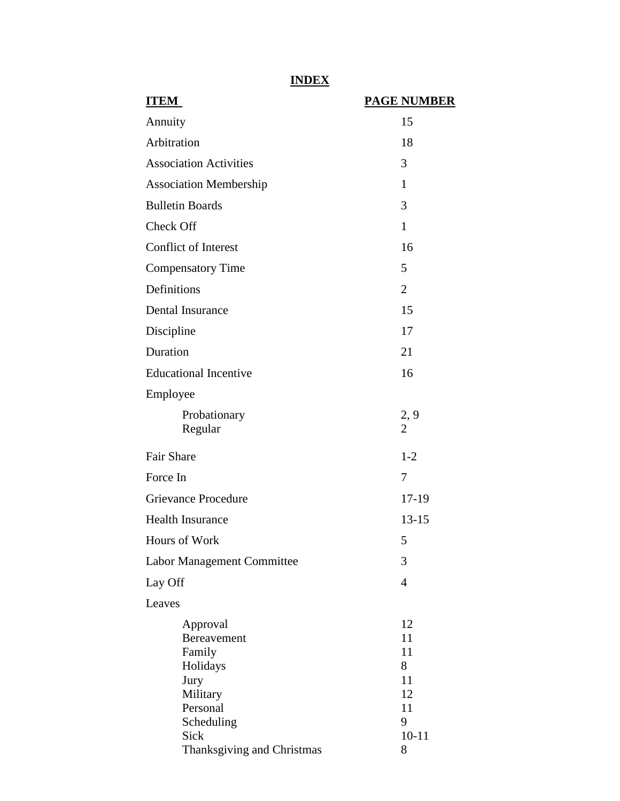# **INDEX**

| <b>ITEM</b>                                                                          | <b>PAGE NUMBER</b>                    |
|--------------------------------------------------------------------------------------|---------------------------------------|
| Annuity                                                                              | 15                                    |
| Arbitration                                                                          | 18                                    |
| <b>Association Activities</b>                                                        | 3                                     |
| <b>Association Membership</b>                                                        | $\mathbf{1}$                          |
| <b>Bulletin Boards</b>                                                               | 3                                     |
| Check Off                                                                            | $\mathbf{1}$                          |
| <b>Conflict of Interest</b>                                                          | 16                                    |
| <b>Compensatory Time</b>                                                             | 5                                     |
| Definitions                                                                          | $\overline{2}$                        |
| Dental Insurance                                                                     | 15                                    |
| Discipline                                                                           | 17                                    |
| Duration                                                                             | 21                                    |
| <b>Educational Incentive</b>                                                         | 16                                    |
| Employee                                                                             |                                       |
| Probationary<br>Regular                                                              | 2, 9<br>$\overline{2}$                |
| <b>Fair Share</b>                                                                    | $1 - 2$                               |
| Force In                                                                             | 7                                     |
| <b>Grievance Procedure</b>                                                           | 17-19                                 |
| <b>Health Insurance</b>                                                              | $13 - 15$                             |
| Hours of Work                                                                        | 5                                     |
| Labor Management Committee                                                           | 3                                     |
| Lay Off                                                                              | $\overline{4}$                        |
| Leaves                                                                               |                                       |
| Approval<br><b>Bereavement</b><br>Family<br>Holidays<br>Jury<br>Military<br>Personal | 12<br>11<br>11<br>8<br>11<br>12<br>11 |
| Scheduling<br>Sick<br>Thanksgiving and Christmas                                     | 9<br>$10 - 11$<br>8                   |